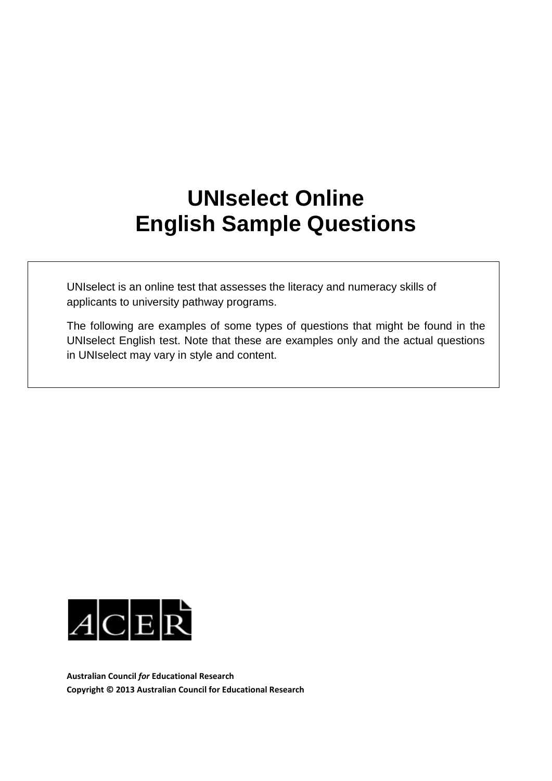## **UNIselect Online English Sample Questions**

UNIselect is an online test that assesses the literacy and numeracy skills of applicants to university pathway programs.

The following are examples of some types of questions that might be found in the UNIselect English test. Note that these are examples only and the actual questions in UNIselect may vary in style and content.



**Australian Council** *for* **Educational Research Copyright © 2013 Australian Council for Educational Research**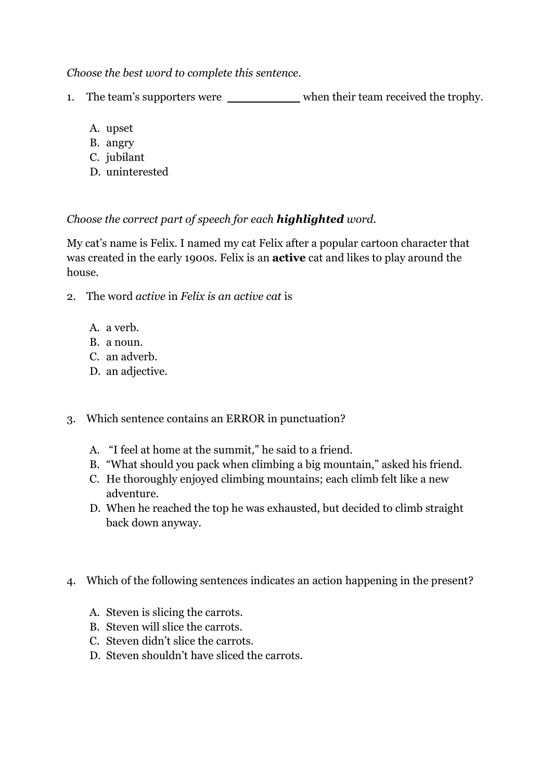*Choose the best word to complete this sentence.*

- 1. The team's supporters were when their team received the trophy.
	- A. upset
	- B. angry
	- C. jubilant
	- D. uninterested

## *Choose the correct part of speech for each highlighted word.*

My cat's name is Felix. I named my cat Felix after a popular cartoon character that was created in the early 1900s. Felix is an **active** cat and likes to play around the house.

- 2. The word *active* in *Felix is an active cat* is
	- A. a verb.
	- B. a noun.
	- C. an adverb.
	- D. an adjective.
- 3. Which sentence contains an ERROR in punctuation?
	- A. "I feel at home at the summit," he said to a friend.
	- B. "What should you pack when climbing a big mountain," asked his friend.
	- C. He thoroughly enjoyed climbing mountains; each climb felt like a new adventure.
	- D. When he reached the top he was exhausted, but decided to climb straight back down anyway.
- 4. Which of the following sentences indicates an action happening in the present?
	- A. Steven is slicing the carrots.
	- B. Steven will slice the carrots.
	- C. Steven didn't slice the carrots.
	- D. Steven shouldn't have sliced the carrots.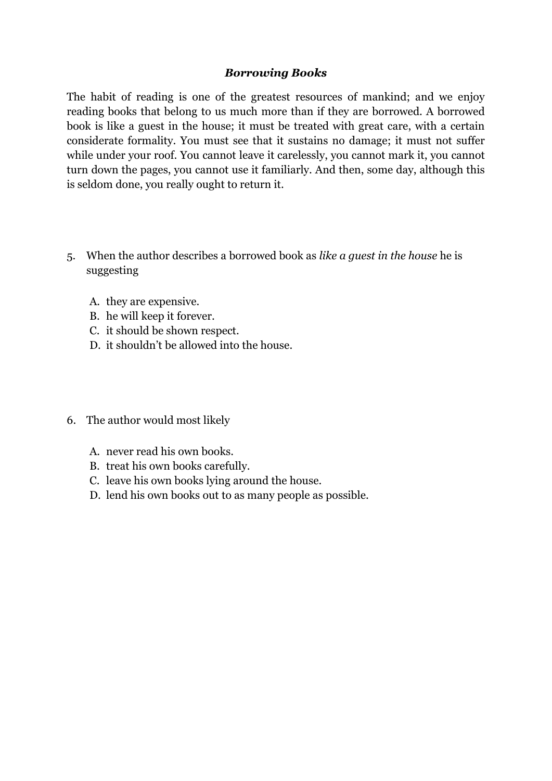## *Borrowing Books*

The habit of reading is one of the greatest resources of mankind; and we enjoy reading books that belong to us much more than if they are borrowed. A borrowed book is like a guest in the house; it must be treated with great care, with a certain considerate formality. You must see that it sustains no damage; it must not suffer while under your roof. You cannot leave it carelessly, you cannot mark it, you cannot turn down the pages, you cannot use it familiarly. And then, some day, although this is seldom done, you really ought to return it.

- 5. When the author describes a borrowed book as *like a guest in the house* he is suggesting
	- A. they are expensive.
	- B. he will keep it forever.
	- C. it should be shown respect.
	- D. it shouldn't be allowed into the house.
- 6. The author would most likely
	- A. never read his own books.
	- B. treat his own books carefully.
	- C. leave his own books lying around the house.
	- D. lend his own books out to as many people as possible.